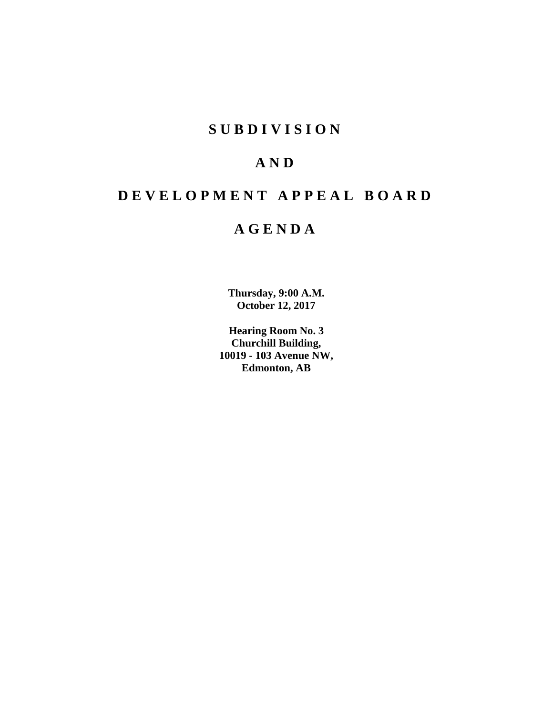# **S U B D I V I S I O N**

# **A N D**

# **D E V E L O P M E N T A P P E A L B O A R D**

# **A G E N D A**

**Thursday, 9:00 A.M. October 12, 2017**

**Hearing Room No. 3 Churchill Building, 10019 - 103 Avenue NW, Edmonton, AB**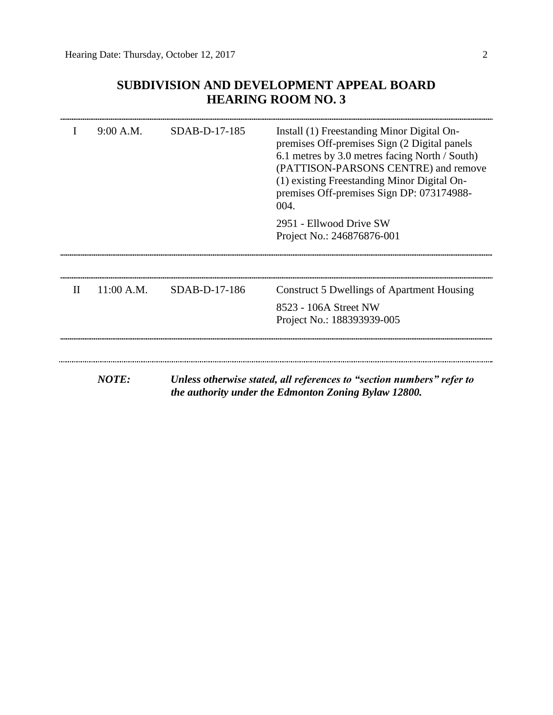# **SUBDIVISION AND DEVELOPMENT APPEAL BOARD HEARING ROOM NO. 3**

|              | 9:00 A.M.    | SDAB-D-17-185 | Install (1) Freestanding Minor Digital On-<br>premises Off-premises Sign (2 Digital panels<br>6.1 metres by 3.0 metres facing North / South)<br>(PATTISON-PARSONS CENTRE) and remove<br>(1) existing Freestanding Minor Digital On-<br>premises Off-premises Sign DP: 073174988-<br>004. |
|--------------|--------------|---------------|------------------------------------------------------------------------------------------------------------------------------------------------------------------------------------------------------------------------------------------------------------------------------------------|
|              |              |               | 2951 - Ellwood Drive SW<br>Project No.: 246876876-001                                                                                                                                                                                                                                    |
| $\mathbf{I}$ | 11:00 A.M.   | SDAB-D-17-186 | <b>Construct 5 Dwellings of Apartment Housing</b><br>8523 - 106A Street NW                                                                                                                                                                                                               |
|              | <b>NOTE:</b> |               | Project No.: 188393939-005<br>Unless otherwise stated, all references to "section numbers" refer to<br>the authority under the Edmonton Zoning Bylaw 12800.                                                                                                                              |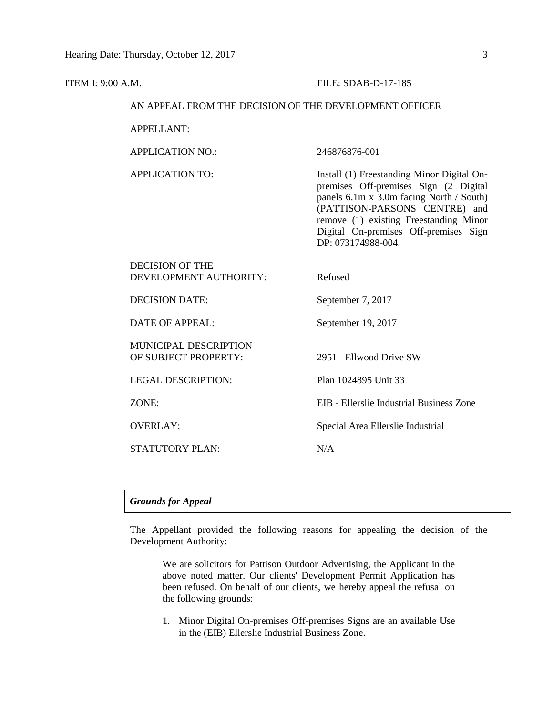| <b>ITEM I: 9:00 A.M.</b> |                                                        | FILE: SDAB-D-17-185                                                                                                                                                                                                                                                       |  |  |  |
|--------------------------|--------------------------------------------------------|---------------------------------------------------------------------------------------------------------------------------------------------------------------------------------------------------------------------------------------------------------------------------|--|--|--|
|                          | AN APPEAL FROM THE DECISION OF THE DEVELOPMENT OFFICER |                                                                                                                                                                                                                                                                           |  |  |  |
|                          | <b>APPELLANT:</b>                                      |                                                                                                                                                                                                                                                                           |  |  |  |
|                          | <b>APPLICATION NO.:</b>                                | 246876876-001                                                                                                                                                                                                                                                             |  |  |  |
|                          | <b>APPLICATION TO:</b>                                 | Install (1) Freestanding Minor Digital On-<br>premises Off-premises Sign (2 Digital<br>panels 6.1m x 3.0m facing North / South)<br>(PATTISON-PARSONS CENTRE) and<br>remove (1) existing Freestanding Minor<br>Digital On-premises Off-premises Sign<br>DP: 073174988-004. |  |  |  |
|                          | <b>DECISION OF THE</b><br>DEVELOPMENT AUTHORITY:       | Refused                                                                                                                                                                                                                                                                   |  |  |  |
|                          | <b>DECISION DATE:</b>                                  | September 7, 2017                                                                                                                                                                                                                                                         |  |  |  |
|                          | <b>DATE OF APPEAL:</b>                                 | September 19, 2017                                                                                                                                                                                                                                                        |  |  |  |
|                          | MUNICIPAL DESCRIPTION<br>OF SUBJECT PROPERTY:          | 2951 - Ellwood Drive SW                                                                                                                                                                                                                                                   |  |  |  |
|                          | <b>LEGAL DESCRIPTION:</b>                              | Plan 1024895 Unit 33                                                                                                                                                                                                                                                      |  |  |  |
|                          | ZONE:                                                  | EIB - Ellerslie Industrial Business Zone                                                                                                                                                                                                                                  |  |  |  |
|                          | <b>OVERLAY:</b>                                        | Special Area Ellerslie Industrial                                                                                                                                                                                                                                         |  |  |  |
|                          | <b>STATUTORY PLAN:</b>                                 | N/A                                                                                                                                                                                                                                                                       |  |  |  |
|                          |                                                        |                                                                                                                                                                                                                                                                           |  |  |  |

# *Grounds for Appeal*

The Appellant provided the following reasons for appealing the decision of the Development Authority:

We are solicitors for Pattison Outdoor Advertising, the Applicant in the above noted matter. Our clients' Development Permit Application has been refused. On behalf of our clients, we hereby appeal the refusal on the following grounds:

1. Minor Digital On-premises Off-premises Signs are an available Use in the (EIB) Ellerslie Industrial Business Zone.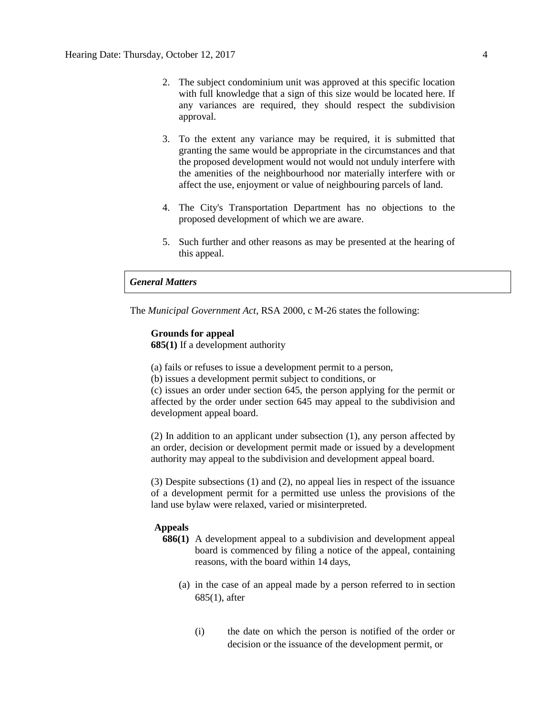- 2. The subject condominium unit was approved at this specific location with full knowledge that a sign of this size would be located here. If any variances are required, they should respect the subdivision approval.
- 3. To the extent any variance may be required, it is submitted that granting the same would be appropriate in the circumstances and that the proposed development would not would not unduly interfere with the amenities of the neighbourhood nor materially interfere with or affect the use, enjoyment or value of neighbouring parcels of land.
- 4. The City's Transportation Department has no objections to the proposed development of which we are aware.
- 5. Such further and other reasons as may be presented at the hearing of this appeal.

# *General Matters*

The *Municipal Government Act*, RSA 2000, c M-26 states the following:

#### **Grounds for appeal**

**685(1)** If a development authority

(a) fails or refuses to issue a development permit to a person,

(b) issues a development permit subject to conditions, or

(c) issues an order under section 645, the person applying for the permit or affected by the order under section 645 may appeal to the subdivision and development appeal board.

(2) In addition to an applicant under subsection (1), any person affected by an order, decision or development permit made or issued by a development authority may appeal to the subdivision and development appeal board.

(3) Despite subsections (1) and (2), no appeal lies in respect of the issuance of a development permit for a permitted use unless the provisions of the land use bylaw were relaxed, varied or misinterpreted.

## **Appeals**

- **686(1)** A development appeal to a subdivision and development appeal board is commenced by filing a notice of the appeal, containing reasons, with the board within 14 days,
	- (a) in the case of an appeal made by a person referred to in section 685(1), after
		- (i) the date on which the person is notified of the order or decision or the issuance of the development permit, or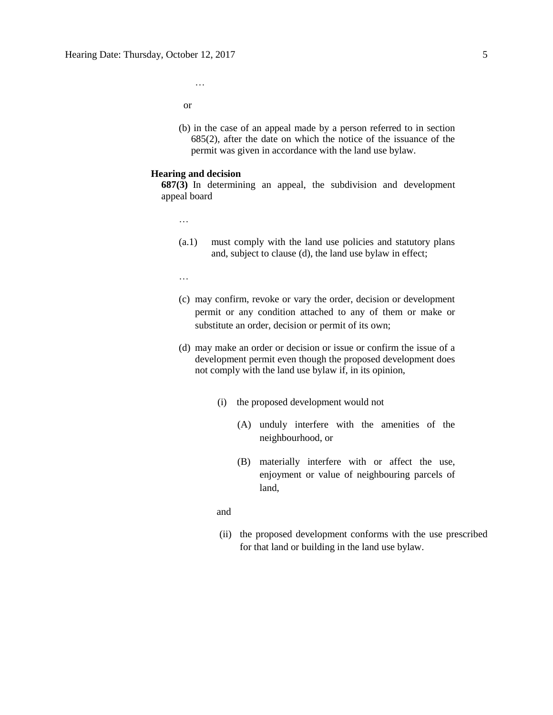or

…

(b) in the case of an appeal made by a person referred to in section 685(2), after the date on which the notice of the issuance of the permit was given in accordance with the land use bylaw.

#### **Hearing and decision**

**687(3)** In determining an appeal, the subdivision and development appeal board

…

- (a.1) must comply with the land use policies and statutory plans and, subject to clause (d), the land use bylaw in effect;
- …
- (c) may confirm, revoke or vary the order, decision or development permit or any condition attached to any of them or make or substitute an order, decision or permit of its own;
- (d) may make an order or decision or issue or confirm the issue of a development permit even though the proposed development does not comply with the land use bylaw if, in its opinion,
	- (i) the proposed development would not
		- (A) unduly interfere with the amenities of the neighbourhood, or
		- (B) materially interfere with or affect the use, enjoyment or value of neighbouring parcels of land,

and

(ii) the proposed development conforms with the use prescribed for that land or building in the land use bylaw.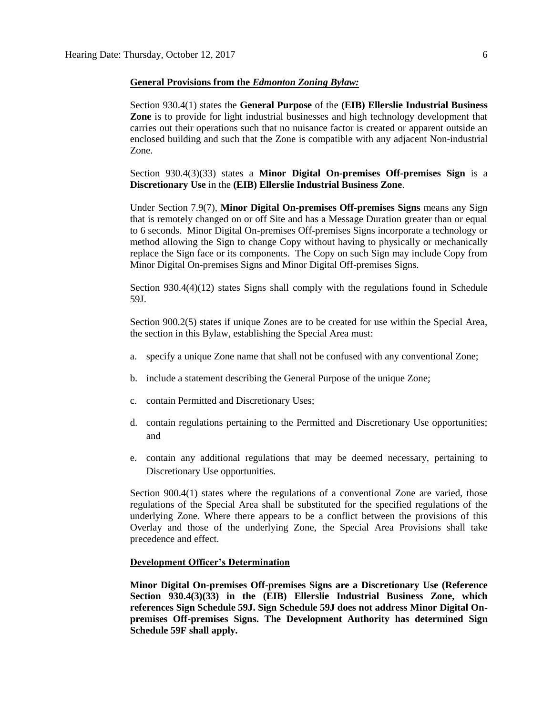### **General Provisions from the** *Edmonton Zoning Bylaw:*

Section 930.4(1) states the **General Purpose** of the **(EIB) Ellerslie Industrial Business Zone** is to provide for light industrial businesses and high technology development that carries out their operations such that no nuisance factor is created or apparent outside an enclosed building and such that the Zone is compatible with any adjacent Non-industrial Zone.

Section 930.4(3)(33) states a **Minor Digital On-premises Off-premises Sign** is a **Discretionary Use** in the **(EIB) Ellerslie Industrial Business Zone**.

Under Section 7.9(7), **Minor Digital On-premises Off-premises Signs** means any Sign that is remotely changed on or off Site and has a Message Duration greater than or equal to 6 seconds. Minor Digital On-premises Off-premises Signs incorporate a technology or method allowing the Sign to change Copy without having to physically or mechanically replace the Sign face or its components. The Copy on such Sign may include Copy from Minor Digital On-premises Signs and Minor Digital Off-premises Signs.

Section 930.4(4)(12) states Signs shall comply with the regulations found in Schedule 59J.

Section 900.2(5) states if unique Zones are to be created for use within the Special Area, the section in this Bylaw, establishing the Special Area must:

- a. specify a unique Zone name that shall not be confused with any conventional Zone;
- b. include a statement describing the General Purpose of the unique Zone;
- c. contain Permitted and Discretionary Uses;
- d. contain regulations pertaining to the Permitted and Discretionary Use opportunities; and
- e. contain any additional regulations that may be deemed necessary, pertaining to Discretionary Use opportunities.

Section 900.4(1) states where the regulations of a conventional Zone are varied, those regulations of the Special Area shall be substituted for the specified regulations of the underlying Zone. Where there appears to be a conflict between the provisions of this Overlay and those of the underlying Zone, the Special Area Provisions shall take precedence and effect.

#### **Development Officer's Determination**

**Minor Digital On-premises Off-premises Signs are a Discretionary Use (Reference Section 930.4(3)(33) in the (EIB) Ellerslie Industrial Business Zone, which references Sign Schedule 59J. Sign Schedule 59J does not address Minor Digital Onpremises Off-premises Signs. The Development Authority has determined Sign Schedule 59F shall apply.**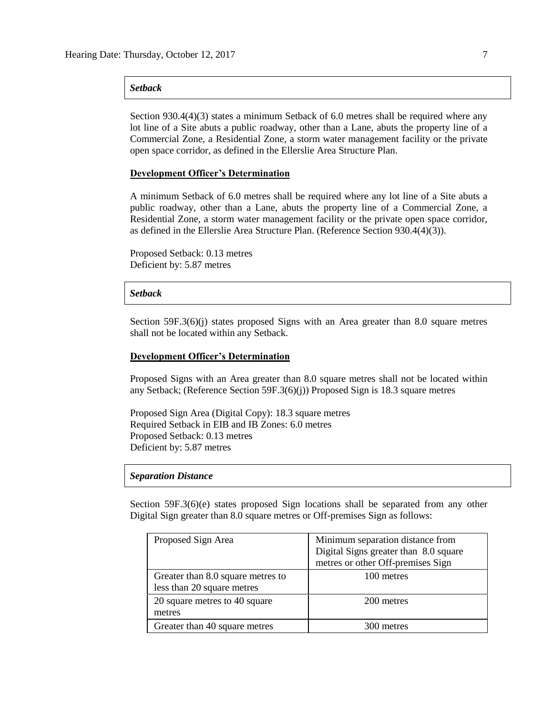## *Setback*

Section 930.4(4)(3) states a minimum Setback of 6.0 metres shall be required where any lot line of a Site abuts a public roadway, other than a Lane, abuts the property line of a Commercial Zone, a Residential Zone, a storm water management facility or the private open space corridor, as defined in the Ellerslie Area Structure Plan.

#### **Development Officer's Determination**

A minimum Setback of 6.0 metres shall be required where any lot line of a Site abuts a public roadway, other than a Lane, abuts the property line of a Commercial Zone, a Residential Zone, a storm water management facility or the private open space corridor, as defined in the Ellerslie Area Structure Plan. (Reference Section 930.4(4)(3)).

Proposed Setback: 0.13 metres Deficient by: 5.87 metres

#### *Setback*

Section 59F.3(6)(j) states proposed Signs with an Area greater than 8.0 square metres shall not be located within any Setback.

#### **Development Officer's Determination**

Proposed Signs with an Area greater than 8.0 square metres shall not be located within any Setback; (Reference Section 59F.3(6)(j)) Proposed Sign is 18.3 square metres

Proposed Sign Area (Digital Copy): 18.3 square metres Required Setback in EIB and IB Zones: 6.0 metres Proposed Setback: 0.13 metres Deficient by: 5.87 metres

### *Separation Distance*

Section 59F.3(6)(e) states proposed Sign locations shall be separated from any other Digital Sign greater than 8.0 square metres or Off-premises Sign as follows:

| Proposed Sign Area                | Minimum separation distance from      |  |  |
|-----------------------------------|---------------------------------------|--|--|
|                                   | Digital Signs greater than 8.0 square |  |  |
|                                   | metres or other Off-premises Sign     |  |  |
| Greater than 8.0 square metres to | 100 metres                            |  |  |
| less than 20 square metres        |                                       |  |  |
| 20 square metres to 40 square     | 200 metres                            |  |  |
| metres                            |                                       |  |  |
| Greater than 40 square metres     | 300 metres                            |  |  |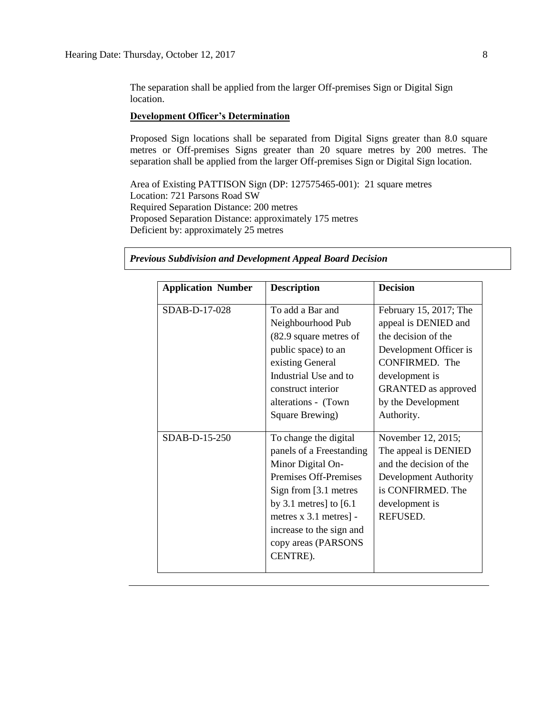The separation shall be applied from the larger Off-premises Sign or Digital Sign location.

# **Development Officer's Determination**

Proposed Sign locations shall be separated from Digital Signs greater than 8.0 square metres or Off-premises Signs greater than 20 square metres by 200 metres. The separation shall be applied from the larger Off-premises Sign or Digital Sign location.

Area of Existing PATTISON Sign (DP: 127575465-001): 21 square metres Location: 721 Parsons Road SW Required Separation Distance: 200 metres Proposed Separation Distance: approximately 175 metres Deficient by: approximately 25 metres

| <b>Application Number</b> | <b>Description</b>                                                                                                                                                                                                                              | <b>Decision</b>                                                                                                                                                                                              |
|---------------------------|-------------------------------------------------------------------------------------------------------------------------------------------------------------------------------------------------------------------------------------------------|--------------------------------------------------------------------------------------------------------------------------------------------------------------------------------------------------------------|
| SDAB-D-17-028             | To add a Bar and<br>Neighbourhood Pub<br>(82.9 square metres of<br>public space) to an<br>existing General<br>Industrial Use and to<br>construct interior<br>alterations - (Town<br>Square Brewing)                                             | February 15, 2017; The<br>appeal is DENIED and<br>the decision of the<br>Development Officer is<br><b>CONFIRMED.</b> The<br>development is<br><b>GRANTED</b> as approved<br>by the Development<br>Authority. |
| SDAB-D-15-250             | To change the digital<br>panels of a Freestanding<br>Minor Digital On-<br>Premises Off-Premises<br>Sign from [3.1 metres]<br>by 3.1 metres] to $[6.1]$<br>metres x 3.1 metres] -<br>increase to the sign and<br>copy areas (PARSONS<br>CENTRE). | November 12, 2015;<br>The appeal is DENIED<br>and the decision of the<br>Development Authority<br>is CONFIRMED. The<br>development is<br>REFUSED.                                                            |

*Previous Subdivision and Development Appeal Board Decision*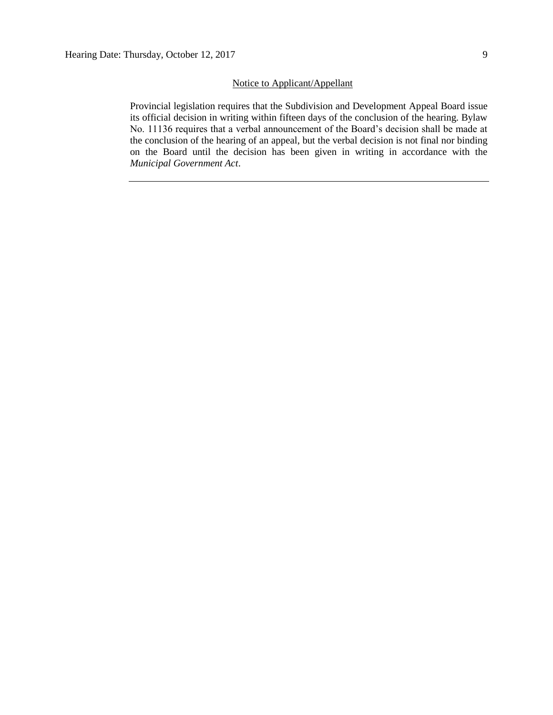### Notice to Applicant/Appellant

Provincial legislation requires that the Subdivision and Development Appeal Board issue its official decision in writing within fifteen days of the conclusion of the hearing. Bylaw No. 11136 requires that a verbal announcement of the Board's decision shall be made at the conclusion of the hearing of an appeal, but the verbal decision is not final nor binding on the Board until the decision has been given in writing in accordance with the *Municipal Government Act*.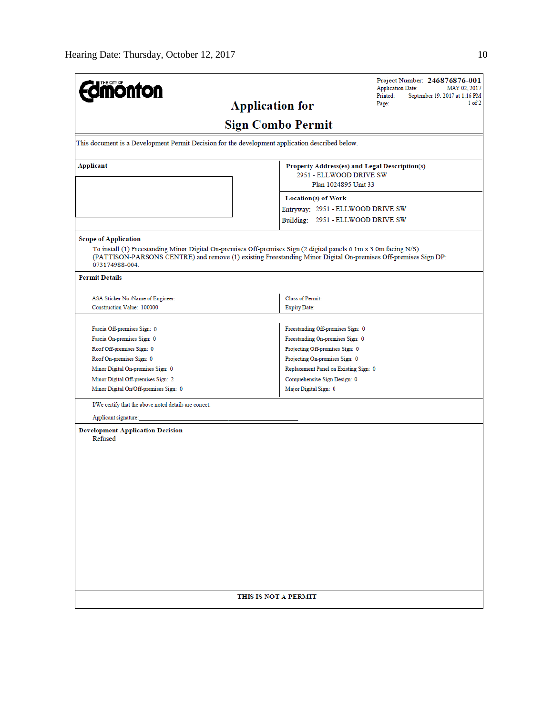| <b>Imónton</b>                                                                                                                                                                                                                                        | Project Number: 246876876-001<br><b>Application Date:</b><br>MAY 02, 2017 |  |  |  |  |  |
|-------------------------------------------------------------------------------------------------------------------------------------------------------------------------------------------------------------------------------------------------------|---------------------------------------------------------------------------|--|--|--|--|--|
|                                                                                                                                                                                                                                                       | Printed:<br>September 19, 2017 at 1:16 PM<br>$1$ of $2$<br>Page:          |  |  |  |  |  |
| <b>Application for</b>                                                                                                                                                                                                                                |                                                                           |  |  |  |  |  |
| <b>Sign Combo Permit</b>                                                                                                                                                                                                                              |                                                                           |  |  |  |  |  |
| This document is a Development Permit Decision for the development application described below.                                                                                                                                                       |                                                                           |  |  |  |  |  |
| <b>Applicant</b>                                                                                                                                                                                                                                      | Property Address(es) and Legal Description(s)<br>2951 - ELLWOOD DRIVE SW  |  |  |  |  |  |
|                                                                                                                                                                                                                                                       | Plan 1024895 Unit 33                                                      |  |  |  |  |  |
|                                                                                                                                                                                                                                                       | Location(s) of Work                                                       |  |  |  |  |  |
|                                                                                                                                                                                                                                                       | Entryway: 2951 - ELLWOOD DRIVE SW                                         |  |  |  |  |  |
|                                                                                                                                                                                                                                                       | Building: 2951 - ELLWOOD DRIVE SW                                         |  |  |  |  |  |
| <b>Scope of Application</b>                                                                                                                                                                                                                           |                                                                           |  |  |  |  |  |
| To install (1) Freestanding Minor Digital On-premises Off-premises Sign (2 digital panels 6.1m x 3.0m facing N/S)<br>(PATTISON-PARSONS CENTRE) and remove (1) existing Freestanding Minor Digital On-premises Off-premises Sign DP:<br>073174988-004. |                                                                           |  |  |  |  |  |
| <b>Permit Details</b>                                                                                                                                                                                                                                 |                                                                           |  |  |  |  |  |
|                                                                                                                                                                                                                                                       |                                                                           |  |  |  |  |  |
| ASA Sticker No./Name of Engineer:<br>Construction Value: 100000                                                                                                                                                                                       | Class of Permit:<br><b>Expiry Date:</b>                                   |  |  |  |  |  |
|                                                                                                                                                                                                                                                       |                                                                           |  |  |  |  |  |
| Fascia Off-premises Sign: 0                                                                                                                                                                                                                           | Freestanding Off-premises Sign: 0                                         |  |  |  |  |  |
| Fascia On-premises Sign: 0                                                                                                                                                                                                                            | Freestanding On-premises Sign: 0                                          |  |  |  |  |  |
| Roof Off-premises Sign: 0                                                                                                                                                                                                                             | Projecting Off-premises Sign: 0                                           |  |  |  |  |  |
| Roof On-premises Sign: 0                                                                                                                                                                                                                              | Projecting On-premises Sign: 0                                            |  |  |  |  |  |
| Minor Digital On-premises Sign: 0                                                                                                                                                                                                                     | Replacement Panel on Existing Sign: 0                                     |  |  |  |  |  |
| Minor Digital Off-premises Sign: 2                                                                                                                                                                                                                    | Comprehensive Sign Design: 0                                              |  |  |  |  |  |
| Minor Digital On/Off-premises Sign: 0                                                                                                                                                                                                                 | Major Digital Sign: 0                                                     |  |  |  |  |  |
| I/We certify that the above noted details are correct.                                                                                                                                                                                                |                                                                           |  |  |  |  |  |
| Applicant signature:                                                                                                                                                                                                                                  |                                                                           |  |  |  |  |  |
| <b>Development Application Decision</b><br>Refused                                                                                                                                                                                                    |                                                                           |  |  |  |  |  |
|                                                                                                                                                                                                                                                       |                                                                           |  |  |  |  |  |
|                                                                                                                                                                                                                                                       |                                                                           |  |  |  |  |  |
|                                                                                                                                                                                                                                                       |                                                                           |  |  |  |  |  |
|                                                                                                                                                                                                                                                       |                                                                           |  |  |  |  |  |
|                                                                                                                                                                                                                                                       |                                                                           |  |  |  |  |  |
|                                                                                                                                                                                                                                                       |                                                                           |  |  |  |  |  |
|                                                                                                                                                                                                                                                       |                                                                           |  |  |  |  |  |
|                                                                                                                                                                                                                                                       |                                                                           |  |  |  |  |  |
|                                                                                                                                                                                                                                                       |                                                                           |  |  |  |  |  |
|                                                                                                                                                                                                                                                       |                                                                           |  |  |  |  |  |
|                                                                                                                                                                                                                                                       |                                                                           |  |  |  |  |  |
|                                                                                                                                                                                                                                                       |                                                                           |  |  |  |  |  |
|                                                                                                                                                                                                                                                       |                                                                           |  |  |  |  |  |
| THIS IS NOT A PERMIT                                                                                                                                                                                                                                  |                                                                           |  |  |  |  |  |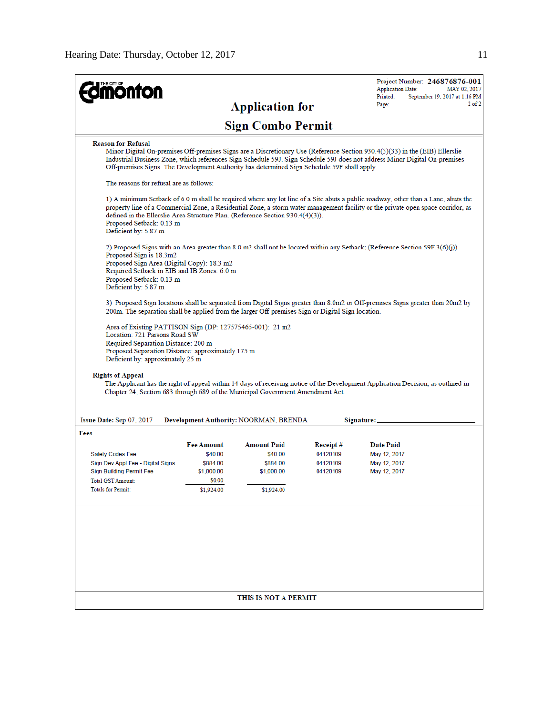| <b>monton</b>                                                                                                                                                                                                              |                                                                                |                                                                       |                                              | Project Number: 246876876-001<br><b>Application Date:</b><br>MAY 02, 2017                                                                                                                                                                                             |
|----------------------------------------------------------------------------------------------------------------------------------------------------------------------------------------------------------------------------|--------------------------------------------------------------------------------|-----------------------------------------------------------------------|----------------------------------------------|-----------------------------------------------------------------------------------------------------------------------------------------------------------------------------------------------------------------------------------------------------------------------|
|                                                                                                                                                                                                                            |                                                                                | <b>Application for</b>                                                |                                              | Printed:<br>September 19, 2017 at 1:16 PM<br>$2$ of $2$<br>Page:                                                                                                                                                                                                      |
|                                                                                                                                                                                                                            |                                                                                | <b>Sign Combo Permit</b>                                              |                                              |                                                                                                                                                                                                                                                                       |
| <b>Reason for Refusal</b><br>Off-premises Signs. The Development Authority has determined Sign Schedule 59F shall apply.                                                                                                   |                                                                                |                                                                       |                                              | Minor Digital On-premises Off-premises Signs are a Discretionary Use (Reference Section 930.4(3)(33) in the (EIB) Ellerslie<br>Industrial Business Zone, which references Sign Schedule 59J. Sign Schedule 59J does not address Minor Digital On-premises             |
| The reasons for refusal are as follows:                                                                                                                                                                                    |                                                                                |                                                                       |                                              |                                                                                                                                                                                                                                                                       |
| defined in the Ellerslie Area Structure Plan. (Reference Section 930.4(4)(3)).<br>Proposed Setback: 0.13 m<br>Deficient by: 5.87 m                                                                                         |                                                                                |                                                                       |                                              | 1) A minimum Setback of 6.0 m shall be required where any lot line of a Site abuts a public roadway, other than a Lane, abuts the<br>property line of a Commercial Zone, a Residential Zone, a storm water management facility or the private open space corridor, as |
| Proposed Sign is 18.3m2<br>Proposed Sign Area (Digital Copy): 18.3 m2<br>Required Setback in EIB and IB Zones: 6.0 m<br>Proposed Setback: 0.13 m<br>Deficient by: 5.87 m                                                   |                                                                                |                                                                       |                                              | 2) Proposed Signs with an Area greater than 8.0 m2 shall not be located within any Setback; (Reference Section 59F.3(6)(j))                                                                                                                                           |
| 200m. The separation shall be applied from the larger Off-premises Sign or Digital Sign location.                                                                                                                          |                                                                                |                                                                       |                                              | 3) Proposed Sign locations shall be separated from Digital Signs greater than 8.0m2 or Off-premises Signs greater than 20m2 by                                                                                                                                        |
| Area of Existing PATTISON Sign (DP: 127575465-001): 21 m2<br>Location: 721 Parsons Road SW<br>Required Separation Distance: 200 m<br>Proposed Separation Distance: approximately 175 m<br>Deficient by: approximately 25 m |                                                                                |                                                                       |                                              |                                                                                                                                                                                                                                                                       |
| <b>Rights of Appeal</b><br>Chapter 24, Section 683 through 689 of the Municipal Government Amendment Act.                                                                                                                  |                                                                                |                                                                       |                                              | The Applicant has the right of appeal within 14 days of receiving notice of the Development Application Decision, as outlined in                                                                                                                                      |
| Issue Date: Sep 07, 2017                                                                                                                                                                                                   |                                                                                | Development Authority: NOORMAN, BRENDA                                |                                              | Signature:                                                                                                                                                                                                                                                            |
| Fees<br><b>Safety Codes Fee</b><br>Sign Dev Appl Fee - Digital Signs<br>Sign Building Permit Fee<br><b>Total GST Amount:</b><br>Totals for Permit:                                                                         | <b>Fee Amount</b><br>\$40.00<br>\$884.00<br>\$1,000.00<br>\$0.00<br>\$1,924.00 | <b>Amount Paid</b><br>\$40.00<br>\$884.00<br>\$1,000.00<br>\$1,924.00 | Receipt#<br>04120109<br>04120109<br>04120109 | <b>Date Paid</b><br>May 12, 2017<br>May 12, 2017<br>May 12, 2017                                                                                                                                                                                                      |
|                                                                                                                                                                                                                            |                                                                                |                                                                       |                                              |                                                                                                                                                                                                                                                                       |
|                                                                                                                                                                                                                            |                                                                                | THIS IS NOT A PERMIT                                                  |                                              |                                                                                                                                                                                                                                                                       |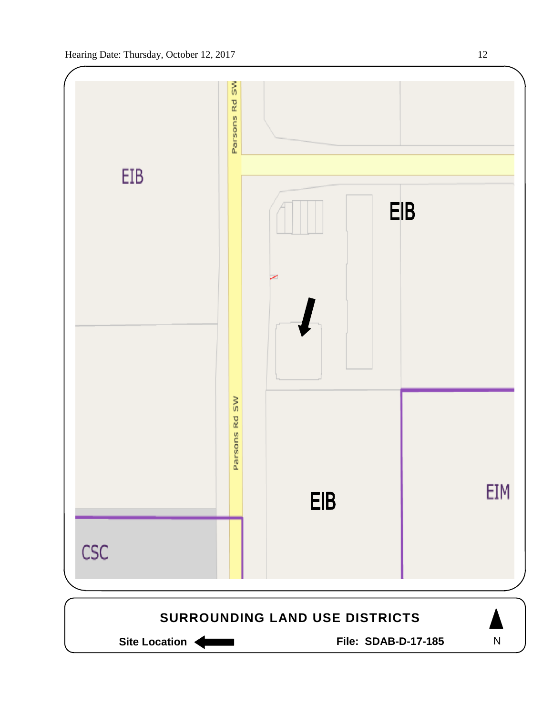

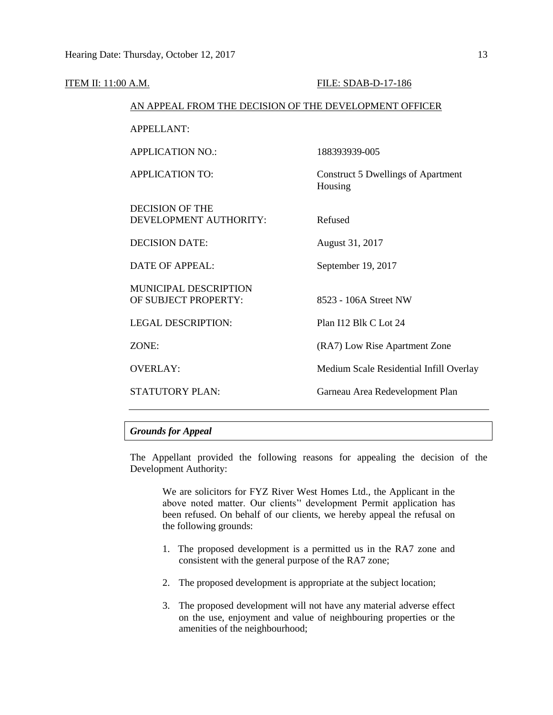| <u>ITEM II: 11:00 A.M.</u> |                                                        | FILE: SDAB-D-17-186                                  |
|----------------------------|--------------------------------------------------------|------------------------------------------------------|
|                            | AN APPEAL FROM THE DECISION OF THE DEVELOPMENT OFFICER |                                                      |
|                            | <b>APPELLANT:</b>                                      |                                                      |
|                            | <b>APPLICATION NO.:</b>                                | 188393939-005                                        |
|                            | <b>APPLICATION TO:</b>                                 | <b>Construct 5 Dwellings of Apartment</b><br>Housing |
|                            | <b>DECISION OF THE</b><br>DEVELOPMENT AUTHORITY:       | Refused                                              |
|                            | <b>DECISION DATE:</b>                                  | August 31, 2017                                      |
|                            | <b>DATE OF APPEAL:</b>                                 | September 19, 2017                                   |
|                            | MUNICIPAL DESCRIPTION<br>OF SUBJECT PROPERTY:          | 8523 - 106A Street NW                                |
|                            | <b>LEGAL DESCRIPTION:</b>                              | Plan I12 Blk C Lot 24                                |
|                            | ZONE:                                                  | (RA7) Low Rise Apartment Zone                        |
|                            | <b>OVERLAY:</b>                                        | Medium Scale Residential Infill Overlay              |
|                            | <b>STATUTORY PLAN:</b>                                 | Garneau Area Redevelopment Plan                      |
|                            |                                                        |                                                      |

# *Grounds for Appeal*

The Appellant provided the following reasons for appealing the decision of the Development Authority:

We are solicitors for FYZ River West Homes Ltd., the Applicant in the above noted matter. Our clients'' development Permit application has been refused. On behalf of our clients, we hereby appeal the refusal on the following grounds:

- 1. The proposed development is a permitted us in the RA7 zone and consistent with the general purpose of the RA7 zone;
- 2. The proposed development is appropriate at the subject location;
- 3. The proposed development will not have any material adverse effect on the use, enjoyment and value of neighbouring properties or the amenities of the neighbourhood;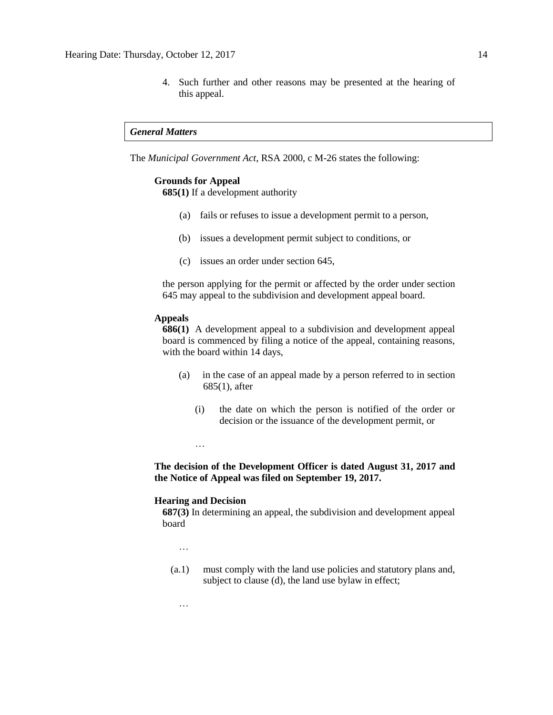4. Such further and other reasons may be presented at the hearing of this appeal.

#### *General Matters*

The *Municipal Government Act*, RSA 2000, c M-26 states the following:

#### **Grounds for Appeal**

**685(1)** If a development authority

- (a) fails or refuses to issue a development permit to a person,
- (b) issues a development permit subject to conditions, or
- (c) issues an order under section 645,

the person applying for the permit or affected by the order under section 645 may appeal to the subdivision and development appeal board.

#### **Appeals**

**686(1)** A development appeal to a subdivision and development appeal board is commenced by filing a notice of the appeal, containing reasons, with the board within 14 days,

- (a) in the case of an appeal made by a person referred to in section 685(1), after
	- (i) the date on which the person is notified of the order or decision or the issuance of the development permit, or

…

# **The decision of the Development Officer is dated August 31, 2017 and the Notice of Appeal was filed on September 19, 2017.**

### **Hearing and Decision**

**687(3)** In determining an appeal, the subdivision and development appeal board

…

…

(a.1) must comply with the land use policies and statutory plans and, subject to clause (d), the land use bylaw in effect;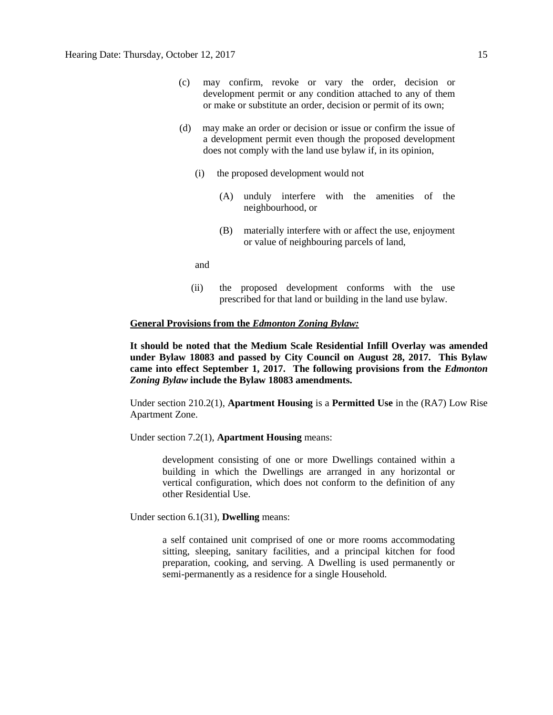- (c) may confirm, revoke or vary the order, decision or development permit or any condition attached to any of them or make or substitute an order, decision or permit of its own;
- (d) may make an order or decision or issue or confirm the issue of a development permit even though the proposed development does not comply with the land use bylaw if, in its opinion,
	- (i) the proposed development would not
		- (A) unduly interfere with the amenities of the neighbourhood, or
		- (B) materially interfere with or affect the use, enjoyment or value of neighbouring parcels of land,

and

(ii) the proposed development conforms with the use prescribed for that land or building in the land use bylaw.

## **General Provisions from the** *Edmonton Zoning Bylaw:*

**It should be noted that the Medium Scale Residential Infill Overlay was amended under Bylaw 18083 and passed by City Council on August 28, 2017. This Bylaw came into effect September 1, 2017. The following provisions from the** *Edmonton Zoning Bylaw* **include the Bylaw 18083 amendments.**

Under section 210.2(1), **Apartment Housing** is a **Permitted Use** in the (RA7) Low Rise Apartment Zone.

Under section 7.2(1), **Apartment Housing** means:

development consisting of one or more Dwellings contained within a building in which the Dwellings are arranged in any horizontal or vertical configuration, which does not conform to the definition of any other Residential Use.

Under section 6.1(31), **Dwelling** means:

a self contained unit comprised of one or more rooms accommodating sitting, sleeping, sanitary facilities, and a principal kitchen for food preparation, cooking, and serving. A Dwelling is used permanently or semi-permanently as a residence for a single Household.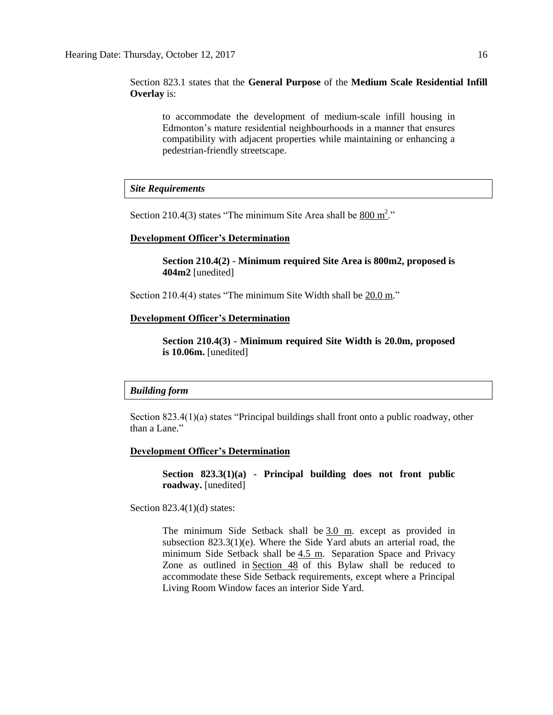Section 823.1 states that the **General Purpose** of the **Medium Scale Residential Infill Overlay** is:

to accommodate the development of medium-scale infill housing in Edmonton's mature residential neighbourhoods in a manner that ensures compatibility with adjacent properties while maintaining or enhancing a pedestrian-friendly streetscape.

*Site Requirements*

Section 210.4(3) states "The minimum Site Area shall be  $800 \text{ m}^2$ ."

#### **Development Officer's Determination**

**Section 210.4(2) - Minimum required Site Area is 800m2, proposed is 404m2** [unedited]

Section 210.4(4) states "The minimum Site Width shall be 20.0 m."

## **Development Officer's Determination**

**Section 210.4(3) - Minimum required Site Width is 20.0m, proposed is 10.06m.** [unedited]

#### *Building form*

Section 823.4(1)(a) states "Principal buildings shall front onto a public roadway, other than a Lane."

#### **Development Officer's Determination**

**Section 823.3(1)(a) - Principal building does not front public roadway.** [unedited]

Section 823.4(1)(d) states:

The minimum Side Setback shall be [3.0 m.](javascript:BSSCPopup() except as provided in subsection 823.3(1)(e). Where the Side Yard abuts an arterial road, the minimum Side Setback shall be [4.5 m.](javascript:BSSCPopup() Separation Space and Privacy Zone as outlined in [Section 48](http://webdocs.edmonton.ca/InfraPlan/zoningbylaw/ZoningBylaw/Part1/Development/48__Separation_Space.htm) of this Bylaw shall be reduced to accommodate these Side Setback requirements, except where a Principal Living Room Window faces an interior Side Yard.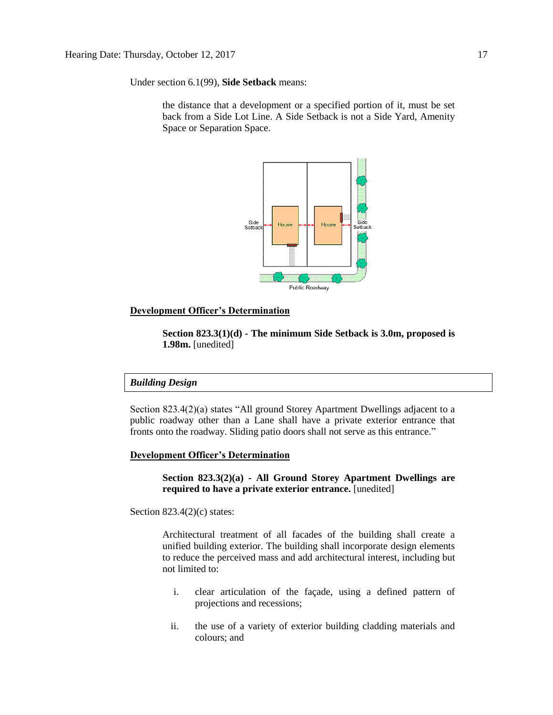Under section 6.1(99), **Side Setback** means:

the distance that a development or a specified portion of it, must be set back from a Side Lot Line. A Side Setback is not a Side Yard, Amenity Space or Separation Space.



## **Development Officer's Determination**

**Section 823.3(1)(d) - The minimum Side Setback is 3.0m, proposed is 1.98m.** [unedited]

# *Building Design*

Section 823.4(2)(a) states "All ground Storey Apartment Dwellings adjacent to a public roadway other than a Lane shall have a private exterior entrance that fronts onto the roadway. Sliding patio doors shall not serve as this entrance."

#### **Development Officer's Determination**

**Section 823.3(2)(a) - All Ground Storey Apartment Dwellings are required to have a private exterior entrance.** [unedited]

Section  $823.4(2)(c)$  states:

Architectural treatment of all facades of the building shall create a unified building exterior. The building shall incorporate design elements to reduce the perceived mass and add architectural interest, including but not limited to:

- i. clear articulation of the façade, using a defined pattern of projections and recessions;
- ii. the use of a variety of exterior building cladding materials and colours; and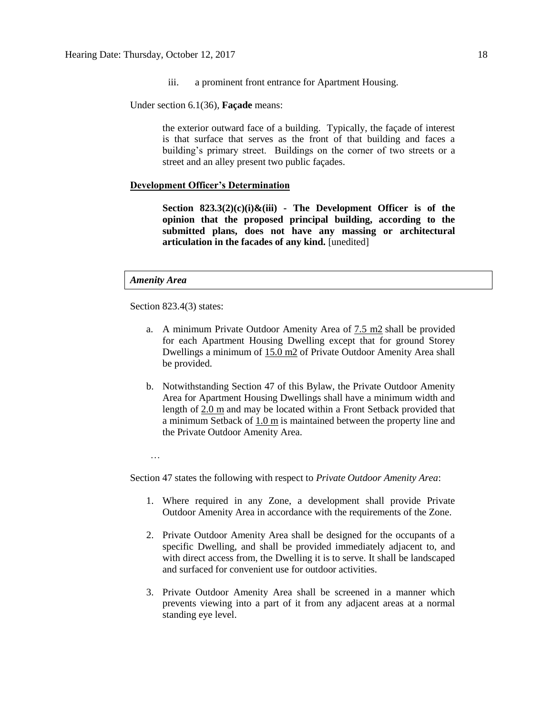iii. a prominent front entrance for Apartment Housing.

Under section 6.1(36), **Façade** means:

the exterior outward face of a building. Typically, the façade of interest is that surface that serves as the front of that building and faces a building's primary street. Buildings on the corner of two streets or a street and an alley present two public façades.

## **Development Officer's Determination**

**Section 823.3(2)(c)(i)&(iii) - The Development Officer is of the opinion that the proposed principal building, according to the submitted plans, does not have any massing or architectural articulation in the facades of any kind.** [unedited]

#### *Amenity Area*

Section 823.4(3) states:

- a. A minimum Private Outdoor Amenity Area of [7.5 m2](javascript:BSSCPopup() shall be provided for each Apartment Housing Dwelling except that for ground Storey Dwellings a minimum of [15.0 m2](javascript:BSSCPopup() of Private Outdoor Amenity Area shall be provided.
- b. Notwithstanding Section 47 of this Bylaw, the Private Outdoor Amenity Area for Apartment Housing Dwellings shall have a minimum width and length of [2.0 m](javascript:BSSCPopup() and may be located within a Front Setback provided that a minimum Setback of [1.0 m](javascript:BSSCPopup() is maintained between the property line and the Private Outdoor Amenity Area.

…

Section 47 states the following with respect to *Private Outdoor Amenity Area*:

- 1. Where required in any Zone, a development shall provide Private Outdoor Amenity Area in accordance with the requirements of the Zone.
- 2. Private Outdoor Amenity Area shall be designed for the occupants of a specific Dwelling, and shall be provided immediately adjacent to, and with direct access from, the Dwelling it is to serve. It shall be landscaped and surfaced for convenient use for outdoor activities.
- 3. Private Outdoor Amenity Area shall be screened in a manner which prevents viewing into a part of it from any adjacent areas at a normal standing eye level.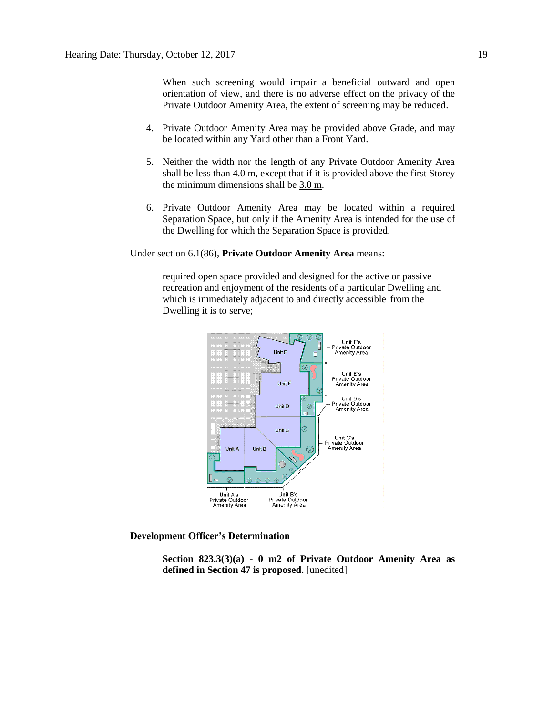When such screening would impair a beneficial outward and open orientation of view, and there is no adverse effect on the privacy of the Private Outdoor Amenity Area, the extent of screening may be reduced.

- 4. Private Outdoor Amenity Area may be provided above Grade, and may be located within any Yard other than a Front Yard.
- 5. Neither the width nor the length of any Private Outdoor Amenity Area shall be less than  $4.0$  m, except that if it is provided above the first Storey the minimum dimensions shall be [3.0](javascript:void(0);) m.
- 6. Private Outdoor Amenity Area may be located within a required Separation Space, but only if the Amenity Area is intended for the use of the Dwelling for which the Separation Space is provided.

Under section 6.1(86), **Private Outdoor Amenity Area** means:

required open space provided and designed for the active or passive recreation and enjoyment of the residents of a particular Dwelling and which is immediately adjacent to and directly accessible from the Dwelling it is to serve;



**Development Officer's Determination**

**Section 823.3(3)(a) - 0 m2 of Private Outdoor Amenity Area as defined in Section 47 is proposed.** [unedited]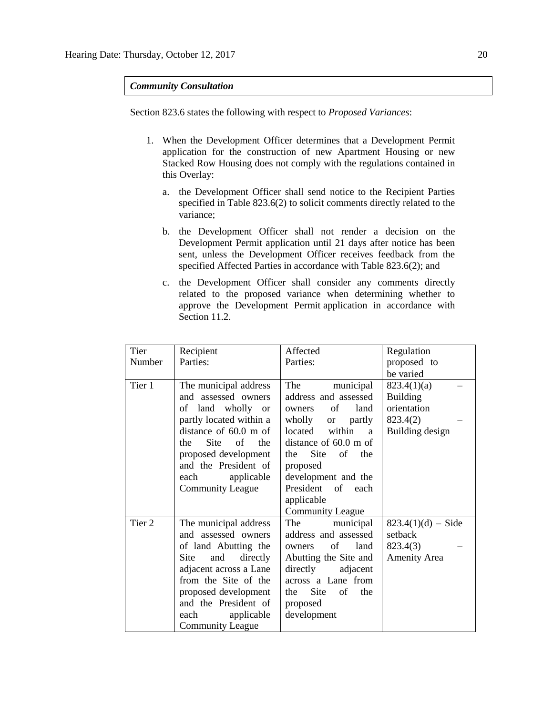## *Community Consultation*

Section 823.6 states the following with respect to *Proposed Variances*:

- 1. When the Development Officer determines that a Development Permit application for the construction of new Apartment Housing or new Stacked Row Housing does not comply with the regulations contained in this Overlay:
	- a. the Development Officer shall send notice to the Recipient Parties specified in Table 823.6(2) to solicit comments directly related to the variance;
	- b. the Development Officer shall not render a decision on the Development Permit application until 21 days after notice has been sent, unless the Development Officer receives feedback from the specified Affected Parties in accordance with Table 823.6(2); and
	- c. the Development Officer shall consider any comments directly related to the proposed variance when determining whether to approve the Development Permit application in accordance with Section 11.2.

| Tier   | Recipient                                                                                                                                                                                                                                                   | Affected                                                                                                                                                                                                                                                             | Regulation                                                                   |
|--------|-------------------------------------------------------------------------------------------------------------------------------------------------------------------------------------------------------------------------------------------------------------|----------------------------------------------------------------------------------------------------------------------------------------------------------------------------------------------------------------------------------------------------------------------|------------------------------------------------------------------------------|
| Number | Parties:                                                                                                                                                                                                                                                    | Parties:                                                                                                                                                                                                                                                             | proposed to                                                                  |
|        |                                                                                                                                                                                                                                                             |                                                                                                                                                                                                                                                                      | be varied                                                                    |
| Tier 1 | The municipal address<br>and assessed owners<br>of land wholly or<br>partly located within a<br>distance of $60.0$ m of<br><b>Site</b><br>of<br>the<br>the<br>proposed development<br>and the President of<br>applicable<br>each<br><b>Community League</b> | municipal<br>The<br>address and assessed<br>land<br>of<br>owners<br>wholly or partly<br>within<br>located<br>a<br>distance of 60.0 m of<br>Site<br>of<br>the<br>the<br>proposed<br>development and the<br>President of each<br>applicable<br><b>Community League</b> | 823.4(1)(a)<br><b>Building</b><br>orientation<br>823.4(2)<br>Building design |
| Tier 2 | The municipal address<br>and assessed owners<br>of land Abutting the<br>directly<br>Site<br>and<br>adjacent across a Lane<br>from the Site of the<br>proposed development<br>and the President of<br>applicable<br>each<br><b>Community League</b>          | The municipal<br>address and assessed<br>of<br>land<br>owners<br>Abutting the Site and<br>directly<br>adjacent<br>across a Lane from<br>Site<br>of<br>the<br>the<br>proposed<br>development                                                                          | $823.4(1)(d) - Side$<br>setback<br>823.4(3)<br><b>Amenity Area</b>           |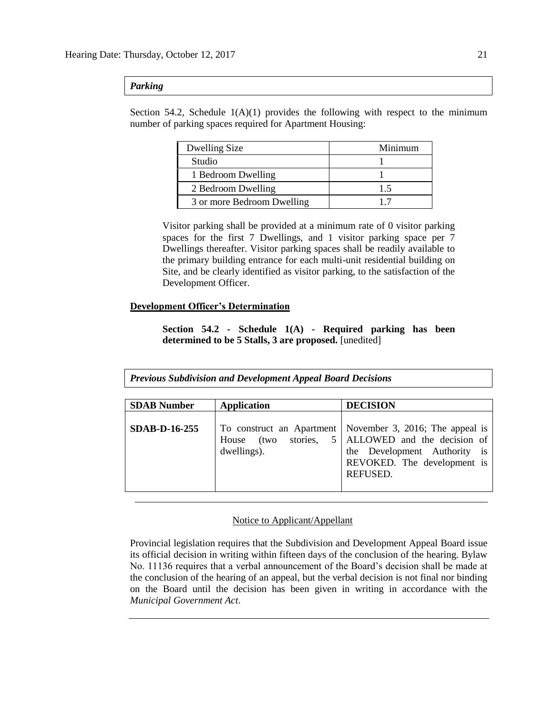## *Parking*

Section 54.2, Schedule  $1(A)(1)$  provides the following with respect to the minimum number of parking spaces required for Apartment Housing:

| Dwelling Size              | Minimum |
|----------------------------|---------|
| Studio                     |         |
| 1 Bedroom Dwelling         |         |
| 2 Bedroom Dwelling         | 1.5     |
| 3 or more Bedroom Dwelling |         |

Visitor parking shall be provided at a minimum rate of 0 visitor parking spaces for the first 7 Dwellings, and 1 visitor parking space per 7 Dwellings thereafter. Visitor parking spaces shall be readily available to the primary building entrance for each multi-unit residential building on Site, and be clearly identified as visitor parking, to the satisfaction of the Development Officer.

# **Development Officer's Determination**

**Section 54.2 - Schedule 1(A) - Required parking has been determined to be 5 Stalls, 3 are proposed.** [unedited]

*Previous Subdivision and Development Appeal Board Decisions*

| <b>SDAB</b> Number   | <b>Application</b>                    | <b>DECISION</b>                                                                                                                                                           |
|----------------------|---------------------------------------|---------------------------------------------------------------------------------------------------------------------------------------------------------------------------|
| <b>SDAB-D-16-255</b> | House (two<br>stories,<br>dwellings). | To construct an Apartment   November 3, 2016; The appeal is<br>5   ALLOWED and the decision of<br>the Development Authority is<br>REVOKED. The development is<br>REFUSED. |

## Notice to Applicant/Appellant

Provincial legislation requires that the Subdivision and Development Appeal Board issue its official decision in writing within fifteen days of the conclusion of the hearing. Bylaw No. 11136 requires that a verbal announcement of the Board's decision shall be made at the conclusion of the hearing of an appeal, but the verbal decision is not final nor binding on the Board until the decision has been given in writing in accordance with the *Municipal Government Act*.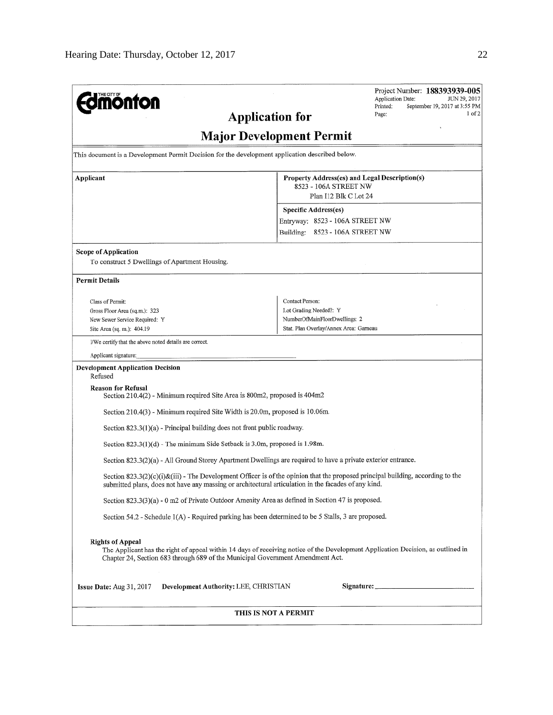| THE CITY OF<br><b>monton</b><br><b>Application for</b>                                                           | Project Number: 188393939-005<br><b>Application Date:</b><br>JUN 29, 2017<br>Printed:<br>September 19, 2017 at 3:55 PM<br>1 of 2<br>Page: |
|------------------------------------------------------------------------------------------------------------------|-------------------------------------------------------------------------------------------------------------------------------------------|
|                                                                                                                  | <b>Major Development Permit</b>                                                                                                           |
| This document is a Development Permit Decision for the development application described below.                  |                                                                                                                                           |
| Applicant                                                                                                        | Property Address(es) and Legal Description(s)<br>8523 - 106A STREET NW<br>Plan I12 Blk C Lot 24                                           |
|                                                                                                                  | Specific Address(es)<br>Entryway: 8523 - 106A STREET NW<br>Building: 8523 - 106A STREET NW                                                |
| Scope of Application<br>To construct 5 Dwellings of Apartment Housing.                                           |                                                                                                                                           |
| <b>Permit Details</b>                                                                                            |                                                                                                                                           |
| Class of Permit:<br>Gross Floor Area (sq.m.): 323<br>New Sewer Service Required: Y<br>Site Area (sq. m.): 404.19 | Contact Person:<br>Lot Grading Needed?: Y<br>NumberOfMainFloorDwellings: 2<br>Stat. Plan Overlay/Annex Area: Garneau                      |
| I/We certify that the above noted details are correct.                                                           |                                                                                                                                           |
| Applicant signature:                                                                                             |                                                                                                                                           |
| <b>Development Application Decision</b><br>Refused                                                               |                                                                                                                                           |
| <b>Reason for Refusal</b><br>Section 210.4(2) - Minimum required Site Area is 800m2, proposed is 404m2           |                                                                                                                                           |
| Section 210.4(3) - Minimum required Site Width is 20.0m, proposed is 10.06m.                                     |                                                                                                                                           |
| Section $823.3(1)(a)$ - Principal building does not front public roadway.                                        |                                                                                                                                           |
| Section $823.3(1)(d)$ - The minimum Side Setback is 3.0m, proposed is 1.98m.                                     |                                                                                                                                           |
| Section 823.3(2)(a) - All Ground Storey Apartment Dwellings are required to have a private exterior entrance.    |                                                                                                                                           |
| submitted plans, does not have any massing or architectural articulation in the facades of any kind.             | Section 823.3(2)(c)(i)&(iii) - The Development Officer is of the opinion that the proposed principal building, according to the           |
| Section 823.3(3)(a) - 0 m2 of Private Outdoor Amenity Area as defined in Section 47 is proposed.                 |                                                                                                                                           |
| Section $54.2$ - Schedule $1(A)$ - Required parking has been determined to be 5 Stalls, 3 are proposed.          |                                                                                                                                           |
| <b>Rights of Appeal</b><br>Chapter 24, Section 683 through 689 of the Municipal Government Amendment Act.        | The Applicant has the right of appeal within 14 days of receiving notice of the Development Application Decision, as outlined in          |
| Development Authority; LEE, CHRISTIAN<br>Is sue Date: Aug 31, 2017                                               |                                                                                                                                           |
|                                                                                                                  | THIS IS NOT A PERMIT                                                                                                                      |
|                                                                                                                  |                                                                                                                                           |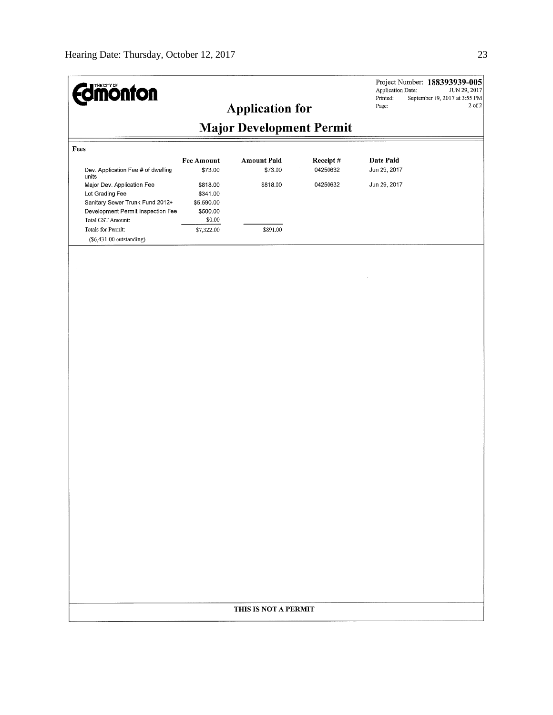| <b>Edmonton</b>                                                                                                                            |                                                          | <b>Application for</b>          |          | Application Date:<br>Printed:<br>Page: | Project Number: 188393939-005<br>JUN 29, 2017<br>September 19, 2017 at 3:55 PM<br>2 of 2 |
|--------------------------------------------------------------------------------------------------------------------------------------------|----------------------------------------------------------|---------------------------------|----------|----------------------------------------|------------------------------------------------------------------------------------------|
|                                                                                                                                            |                                                          | <b>Major Development Permit</b> |          |                                        |                                                                                          |
| Fees                                                                                                                                       | <b>Fee Amount</b>                                        | <b>Amount Paid</b>              | Receipt# | Date Paid                              |                                                                                          |
| Dev. Application Fee # of dwelling<br>units                                                                                                | \$73.00                                                  | \$73.00                         | 04250632 | Jun 29, 2017                           |                                                                                          |
| Major Dev. Application Fee<br>Lot Grading Fee<br>Sanitary Sewer Trunk Fund 2012+<br>Development Permit Inspection Fee<br>Total GST Amount: | \$818.00<br>\$341.00<br>\$5,590.00<br>\$500.00<br>\$0.00 | \$818.00                        | 04250632 | Jun 29, 2017                           |                                                                                          |
| Totals for Permit:<br>$($6,431.00$ outstanding)                                                                                            | \$7,322.00                                               | \$891.00                        |          |                                        |                                                                                          |
|                                                                                                                                            |                                                          |                                 |          |                                        |                                                                                          |
|                                                                                                                                            |                                                          |                                 |          |                                        |                                                                                          |
|                                                                                                                                            |                                                          |                                 |          |                                        |                                                                                          |
|                                                                                                                                            |                                                          |                                 |          |                                        |                                                                                          |
|                                                                                                                                            |                                                          |                                 |          |                                        |                                                                                          |
|                                                                                                                                            |                                                          |                                 |          |                                        |                                                                                          |
|                                                                                                                                            |                                                          |                                 |          |                                        |                                                                                          |
|                                                                                                                                            |                                                          |                                 |          |                                        |                                                                                          |
|                                                                                                                                            |                                                          |                                 |          |                                        |                                                                                          |
|                                                                                                                                            |                                                          |                                 |          |                                        |                                                                                          |
|                                                                                                                                            |                                                          |                                 |          |                                        |                                                                                          |
|                                                                                                                                            |                                                          |                                 |          |                                        |                                                                                          |
|                                                                                                                                            |                                                          |                                 |          |                                        |                                                                                          |
|                                                                                                                                            |                                                          |                                 |          |                                        |                                                                                          |
|                                                                                                                                            |                                                          |                                 |          |                                        |                                                                                          |
|                                                                                                                                            |                                                          |                                 |          |                                        |                                                                                          |
|                                                                                                                                            |                                                          |                                 |          |                                        |                                                                                          |
|                                                                                                                                            |                                                          |                                 |          |                                        |                                                                                          |
|                                                                                                                                            |                                                          |                                 |          |                                        |                                                                                          |
|                                                                                                                                            |                                                          |                                 |          |                                        |                                                                                          |
|                                                                                                                                            |                                                          | THIS IS NOT A PERMIT            |          |                                        |                                                                                          |